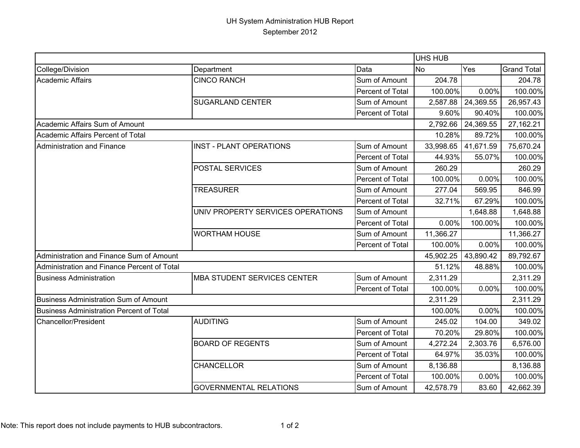## UH System Administration HUB Report September 2012

|                                             |                                    |                  | <b>UHS HUB</b> |           |                    |  |
|---------------------------------------------|------------------------------------|------------------|----------------|-----------|--------------------|--|
| College/Division                            | Department                         | Data             | No             | Yes       | <b>Grand Total</b> |  |
| Academic Affairs                            | <b>CINCO RANCH</b>                 | Sum of Amount    | 204.78         |           | 204.78             |  |
|                                             |                                    | Percent of Total | 100.00%        | 0.00%     | 100.00%            |  |
|                                             | <b>SUGARLAND CENTER</b>            | Sum of Amount    | 2,587.88       | 24,369.55 | 26,957.43          |  |
|                                             |                                    | Percent of Total | 9.60%          | 90.40%    | 100.00%            |  |
| Academic Affairs Sum of Amount              |                                    |                  | 2,792.66       | 24,369.55 | 27,162.21          |  |
| Academic Affairs Percent of Total           |                                    |                  | 10.28%         | 89.72%    | 100.00%            |  |
| Administration and Finance                  | <b>INST - PLANT OPERATIONS</b>     | Sum of Amount    | 33,998.65      | 41,671.59 | 75,670.24          |  |
|                                             |                                    | Percent of Total | 44.93%         | 55.07%    | 100.00%            |  |
|                                             | <b>POSTAL SERVICES</b>             | Sum of Amount    | 260.29         |           | 260.29             |  |
|                                             |                                    | Percent of Total | 100.00%        | 0.00%     | 100.00%            |  |
|                                             | <b>TREASURER</b>                   | Sum of Amount    | 277.04         | 569.95    | 846.99             |  |
|                                             |                                    | Percent of Total | 32.71%         | 67.29%    | 100.00%            |  |
|                                             | UNIV PROPERTY SERVICES OPERATIONS  | Sum of Amount    |                | 1,648.88  | 1,648.88           |  |
|                                             |                                    | Percent of Total | 0.00%          | 100.00%   | 100.00%            |  |
|                                             | <b>WORTHAM HOUSE</b>               | Sum of Amount    | 11,366.27      |           | 11,366.27          |  |
|                                             |                                    | Percent of Total | 100.00%        | 0.00%     | 100.00%            |  |
| Administration and Finance Sum of Amount    |                                    |                  | 45,902.25      | 43,890.42 | 89,792.67          |  |
| Administration and Finance Percent of Total |                                    |                  | 51.12%         | 48.88%    | 100.00%            |  |
| <b>Business Administration</b>              | <b>MBA STUDENT SERVICES CENTER</b> | Sum of Amount    | 2,311.29       |           | 2,311.29           |  |
|                                             |                                    | Percent of Total | 100.00%        | 0.00%     | 100.00%            |  |
| Business Administration Sum of Amount       |                                    |                  | 2,311.29       |           | 2,311.29           |  |
| Business Administration Percent of Total    |                                    |                  | 100.00%        | 0.00%     | 100.00%            |  |
| <b>Chancellor/President</b>                 | <b>AUDITING</b>                    | Sum of Amount    | 245.02         | 104.00    | 349.02             |  |
|                                             |                                    | Percent of Total | 70.20%         | 29.80%    | 100.00%            |  |
|                                             | <b>BOARD OF REGENTS</b>            | Sum of Amount    | 4,272.24       | 2,303.76  | 6,576.00           |  |
|                                             |                                    | Percent of Total | 64.97%         | 35.03%    | 100.00%            |  |
|                                             | <b>CHANCELLOR</b>                  | Sum of Amount    | 8,136.88       |           | 8,136.88           |  |
|                                             |                                    | Percent of Total | 100.00%        | 0.00%     | 100.00%            |  |
|                                             | <b>GOVERNMENTAL RELATIONS</b>      | Sum of Amount    | 42,578.79      | 83.60     | 42,662.39          |  |